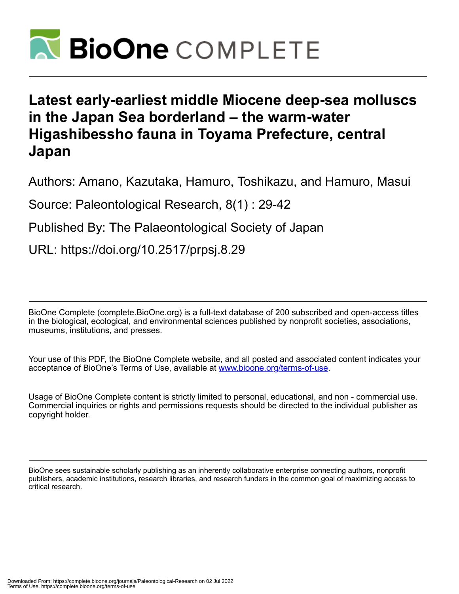

# **Latest early-earliest middle Miocene deep-sea molluscs in the Japan Sea borderland – the warm-water Higashibessho fauna in Toyama Prefecture, central Japan**

Authors: Amano, Kazutaka, Hamuro, Toshikazu, and Hamuro, Masui

Source: Paleontological Research, 8(1) : 29-42

Published By: The Palaeontological Society of Japan

URL: https://doi.org/10.2517/prpsj.8.29

BioOne Complete (complete.BioOne.org) is a full-text database of 200 subscribed and open-access titles in the biological, ecological, and environmental sciences published by nonprofit societies, associations, museums, institutions, and presses.

Your use of this PDF, the BioOne Complete website, and all posted and associated content indicates your acceptance of BioOne's Terms of Use, available at www.bioone.org/terms-of-use.

Usage of BioOne Complete content is strictly limited to personal, educational, and non - commercial use. Commercial inquiries or rights and permissions requests should be directed to the individual publisher as copyright holder.

BioOne sees sustainable scholarly publishing as an inherently collaborative enterprise connecting authors, nonprofit publishers, academic institutions, research libraries, and research funders in the common goal of maximizing access to critical research.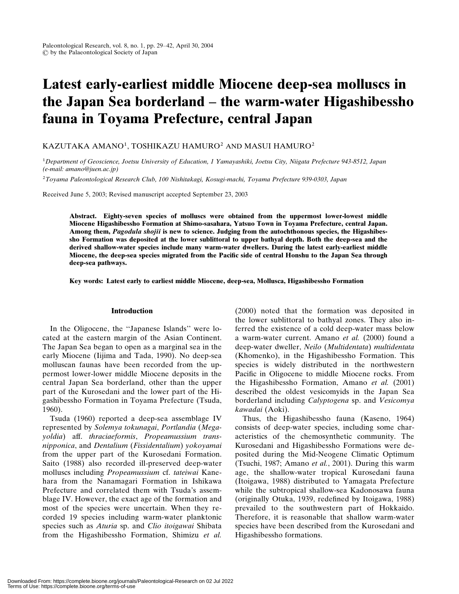## Latest early-earliest middle Miocene deep-sea molluscs in the Japan Sea borderland – the warm-water Higashibessho fauna in Toyama Prefecture, central Japan

KAZUTAKA AMANO<sup>1</sup>, TOSHIKAZU HAMURO<sup>2</sup> AND MASUI HAMURO<sup>2</sup>

1Department of Geoscience, Joetsu University of Education, 1 Yamayashiki, Joetsu City, Niigata Prefecture 943-8512, Japan (e-mail: amano@juen.ac.jp)

2Toyama Paleontological Research Club, 100 Nishitakagi, Kosugi-machi, Toyama Prefecture 939-0303, Japan

Received June 5, 2003; Revised manuscript accepted September 23, 2003

Abstract. Eighty-seven species of molluscs were obtained from the uppermost lower-lowest middle Miocene Higashibessho Formation at Shimo-sasahara, Yatsuo Town in Toyama Prefecture, central Japan. Among them, Pagodula shojii is new to science. Judging from the autochthonous species, the Higashibessho Formation was deposited at the lower sublittoral to upper bathyal depth. Both the deep-sea and the derived shallow-water species include many warm-water dwellers. During the latest early-earliest middle Miocene, the deep-sea species migrated from the Pacific side of central Honshu to the Japan Sea through deep-sea pathways.

Key words: Latest early to earliest middle Miocene, deep-sea, Mollusca, Higashibessho Formation

### Introduction

In the Oligocene, the ''Japanese Islands'' were located at the eastern margin of the Asian Continent. The Japan Sea began to open as a marginal sea in the early Miocene (Iijima and Tada, 1990). No deep-sea molluscan faunas have been recorded from the uppermost lower-lower middle Miocene deposits in the central Japan Sea borderland, other than the upper part of the Kurosedani and the lower part of the Higashibessho Formation in Toyama Prefecture (Tsuda, 1960).

Tsuda (1960) reported a deep-sea assemblage IV represented by Solemya tokunagai, Portlandia (Megayoldia) aff. thraciaeformis, Propeamussium transnipponica, and Dentalium (Fissidentalium) yokoyamai from the upper part of the Kurosedani Formation. Saito (1988) also recorded ill-preserved deep-water molluscs including Propeamussium cf. tateiwai Kanehara from the Nanamagari Formation in Ishikawa Prefecture and correlated them with Tsuda's assemblage IV. However, the exact age of the formation and most of the species were uncertain. When they recorded 19 species including warm-water planktonic species such as *Aturia* sp. and *Clio itoigawai* Shibata from the Higashibessho Formation, Shimizu et al. (2000) noted that the formation was deposited in the lower sublittoral to bathyal zones. They also inferred the existence of a cold deep-water mass below a warm-water current. Amano et al. (2000) found a deep-water dweller, Neilo (Multidentata) multidentata (Khomenko), in the Higashibessho Formation. This species is widely distributed in the northwestern Pacific in Oligocene to middle Miocene rocks. From the Higashibessho Formation, Amano et al. (2001) described the oldest vesicomyids in the Japan Sea borderland including Calyptogena sp. and Vesicomya kawadai (Aoki).

Thus, the Higashibessho fauna (Kaseno, 1964) consists of deep-water species, including some characteristics of the chemosynthetic community. The Kurosedani and Higashibessho Formations were deposited during the Mid-Neogene Climatic Optimum (Tsuchi, 1987; Amano et al., 2001). During this warm age, the shallow-water tropical Kurosedani fauna (Itoigawa, 1988) distributed to Yamagata Prefecture while the subtropical shallow-sea Kadonosawa fauna (originally Otuka, 1939, redefined by Itoigawa, 1988) prevailed to the southwestern part of Hokkaido. Therefore, it is reasonable that shallow warm-water species have been described from the Kurosedani and Higashibessho formations.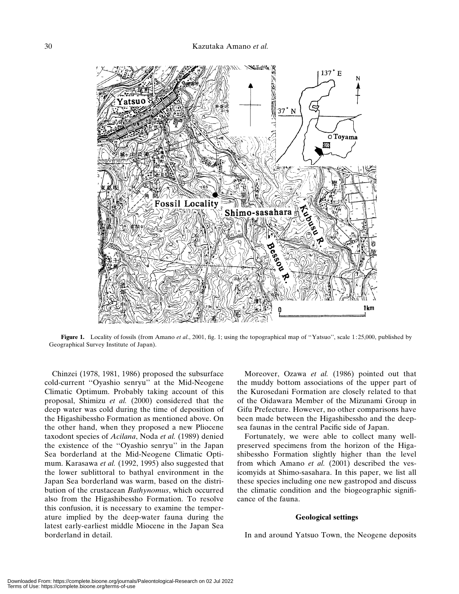

Figure 1. Locality of fossils (from Amano et al., 2001, fig. 1; using the topographical map of "Yatsuo", scale 1:25,000, published by Geographical Survey Institute of Japan).

Chinzei (1978, 1981, 1986) proposed the subsurface cold-current ''Oyashio senryu'' at the Mid-Neogene Climatic Optimum. Probably taking account of this proposal, Shimizu et al. (2000) considered that the deep water was cold during the time of deposition of the Higashibessho Formation as mentioned above. On the other hand, when they proposed a new Pliocene taxodont species of Acilana, Noda et al. (1989) denied the existence of the ''Oyashio senryu'' in the Japan Sea borderland at the Mid-Neogene Climatic Optimum. Karasawa et al. (1992, 1995) also suggested that the lower sublittoral to bathyal environment in the Japan Sea borderland was warm, based on the distribution of the crustacean Bathynomus, which occurred also from the Higashibessho Formation. To resolve this confusion, it is necessary to examine the temperature implied by the deep-water fauna during the latest early-earliest middle Miocene in the Japan Sea borderland in detail.

Moreover, Ozawa et al. (1986) pointed out that the muddy bottom associations of the upper part of the Kurosedani Formation are closely related to that of the Oidawara Member of the Mizunami Group in Gifu Prefecture. However, no other comparisons have been made between the Higashibessho and the deepsea faunas in the central Pacific side of Japan.

Fortunately, we were able to collect many wellpreserved specimens from the horizon of the Higashibessho Formation slightly higher than the level from which Amano et al. (2001) described the vesicomyids at Shimo-sasahara. In this paper, we list all these species including one new gastropod and discuss the climatic condition and the biogeographic significance of the fauna.

## Geological settings

In and around Yatsuo Town, the Neogene deposits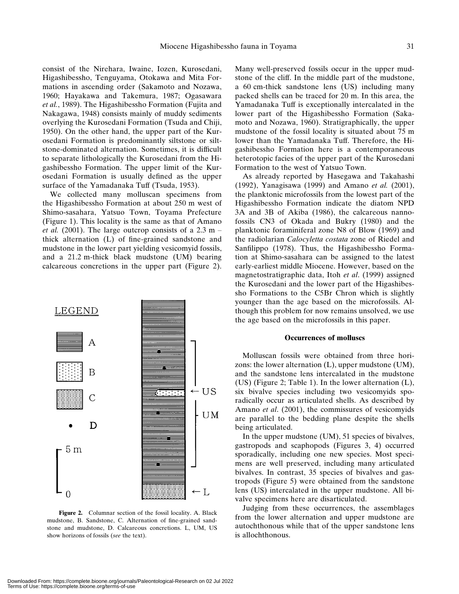consist of the Nirehara, Iwaine, Iozen, Kurosedani, Higashibessho, Tenguyama, Otokawa and Mita Formations in ascending order (Sakamoto and Nozawa, 1960; Hayakawa and Takemura, 1987; Ogasawara et al., 1989). The Higashibessho Formation (Fujita and Nakagawa, 1948) consists mainly of muddy sediments overlying the Kurosedani Formation (Tsuda and Chiji, 1950). On the other hand, the upper part of the Kurosedani Formation is predominantly siltstone or siltstone-dominated alternation. Sometimes, it is difficult to separate lithologically the Kurosedani from the Higashibessho Formation. The upper limit of the Kurosedani Formation is usually defined as the upper surface of the Yamadanaka Tuff (Tsuda, 1953).

We collected many molluscan specimens from the Higashibessho Formation at about 250 m west of Shimo-sasahara, Yatsuo Town, Toyama Prefecture (Figure 1). This locality is the same as that of Amano et al. (2001). The large outcrop consists of a  $2.3 \text{ m}$  – thick alternation (L) of fine-grained sandstone and mudstone in the lower part yielding vesicomyid fossils, and a 21.2 m-thick black mudstone (UM) bearing calcareous concretions in the upper part (Figure 2).



Figure 2. Columnar section of the fossil locality. A. Black mudstone, B. Sandstone, C. Alternation of fine-grained sandstone and mudstone, D. Calcareous concretions. L, UM, US show horizons of fossils (see the text).

Many well-preserved fossils occur in the upper mudstone of the cliff. In the middle part of the mudstone, a 60 cm-thick sandstone lens (US) including many packed shells can be traced for 20 m. In this area, the Yamadanaka Tuff is exceptionally intercalated in the lower part of the Higashibessho Formation (Sakamoto and Nozawa, 1960). Stratigraphically, the upper mudstone of the fossil locality is situated about 75 m lower than the Yamadanaka Tuff. Therefore, the Higashibessho Formation here is a contemporaneous heterotopic facies of the upper part of the Kurosedani Formation to the west of Yatsuo Town.

As already reported by Hasegawa and Takahashi (1992), Yanagisawa (1999) and Amano et al. (2001), the planktonic microfossils from the lowest part of the Higashibessho Formation indicate the diatom NPD 3A and 3B of Akiba (1986), the calcareous nannofossils CN3 of Okada and Bukry (1980) and the planktonic foraminiferal zone N8 of Blow (1969) and the radiolarian Calocyletta costata zone of Riedel and Sanfilippo (1978). Thus, the Higashibessho Formation at Shimo-sasahara can be assigned to the latest early-earliest middle Miocene. However, based on the magnetostratigraphic data, Itoh et al. (1999) assigned the Kurosedani and the lower part of the Higashibessho Formations to the C5Br Chron which is slightly younger than the age based on the microfossils. Although this problem for now remains unsolved, we use the age based on the microfossils in this paper.

## Occurrences of molluscs

Molluscan fossils were obtained from three horizons: the lower alternation (L), upper mudstone (UM), and the sandstone lens intercalated in the mudstone (US) (Figure 2; Table 1). In the lower alternation (L), six bivalve species including two vesicomyids sporadically occur as articulated shells. As described by Amano et al. (2001), the commissures of vesicomyids are parallel to the bedding plane despite the shells being articulated.

In the upper mudstone (UM), 51 species of bivalves, gastropods and scaphopods (Figures 3, 4) occurred sporadically, including one new species. Most specimens are well preserved, including many articulated bivalves. In contrast, 35 species of bivalves and gastropods (Figure 5) were obtained from the sandstone lens (US) intercalated in the upper mudstone. All bivalve specimens here are disarticulated.

Judging from these occurrences, the assemblages from the lower alternation and upper mudstone are autochthonous while that of the upper sandstone lens is allochthonous.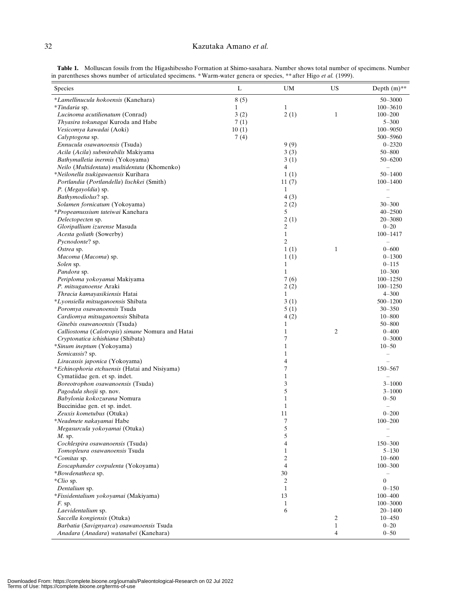Table 1. Molluscan fossils from the Higashibessho Formation at Shimo-sasahara. Number shows total number of specimens. Number in parentheses shows number of articulated specimens. \*Warm-water genera or species, \*\* after Higo et al. (1999).

| <b>Species</b>                                   | L     | UM           | US             | Depth $(m)$ **           |
|--------------------------------------------------|-------|--------------|----------------|--------------------------|
| *Lamellinucula hokoensis (Kanehara)              | 8(5)  |              |                | $50 - 3000$              |
| *Tindaria sp.                                    | 1     | $\mathbf{1}$ |                | $100 - 3610$             |
| Lucinoma acutilienatum (Conrad)                  | 3(2)  | 2(1)         | $\mathbf{1}$   | $100 - 200$              |
| Thyasira tokunagai Kuroda and Habe               | 7(1)  |              |                | $5 - 300$                |
| Vesicomya kawadai (Aoki)                         | 10(1) |              |                | $100 - 9050$             |
| Calyptogena sp.                                  | 7(4)  |              |                | 500-5960                 |
| Ennucula osawanoensis (Tsuda)                    |       | 9(9)         |                | $0 - 2320$               |
| Acila (Acila) submirabilis Makiyama              |       | 3(3)         |                | $50 - 800$               |
| Bathymalletia inermis (Yokoyama)                 |       | 3(1)         |                | $50 - 6200$              |
| Neilo (Multidentata) multidentata (Khomenko)     |       | 4            |                |                          |
| *Neilonella tsukigawaensis Kurihara              |       | 1(1)         |                | $50 - 1400$              |
| Portlandia (Portlandella) lischkei (Smith)       |       | 11(7)        |                | $100 - 1400$             |
| P. (Megayoldia) sp.                              |       | $\mathbf{1}$ |                |                          |
| Bathymodiolus? sp.                               |       | 4(3)         |                |                          |
| Solamen fornicatum (Yokoyama)                    |       | 2(2)         |                | $30 - 300$               |
| *Propeamussium tateiwai Kanehara                 |       | 5            |                | $40 - 2500$              |
| Delectopecten sp.                                |       | 2(1)         |                | $20 - 3080$              |
| Gloripallium izurense Masuda                     |       | 2            |                | $0 - 20$                 |
| Acesta goliath (Sowerby)                         |       | $\mathbf{1}$ |                | $100 - 1417$             |
| Pycnodonte? sp.                                  |       | 2            |                | $\qquad \qquad -$        |
| Ostrea sp.                                       |       | 1(1)         | $\mathbf{1}$   | $0 - 600$                |
| Macoma (Macoma) sp.                              |       | 1(1)         |                | $0 - 1300$               |
| Solen sp.                                        |       | $\mathbf{1}$ |                | $0 - 115$                |
| Pandora sp.                                      |       | $\mathbf{1}$ |                | $10 - 300$               |
| Periploma yokoyamai Makiyama                     |       | 7(6)         |                | $100 - 1250$             |
| P. mitsuganoense Araki                           |       | 2(2)         |                | $100 - 1250$             |
| Thracia kamayasikiensis Hatai                    |       | $\mathbf{1}$ |                | $4 - 300$                |
| *Lyonsiella mitsuganoensis Shibata               |       | 3(1)         |                | 500-1200                 |
| Poromya osawanoensis Tsuda                       |       | 5(1)         |                | $30 - 350$               |
| Cardiomya mitsuganoensis Shibata                 |       | 4(2)         |                | $10 - 800$               |
| Ginebis osawanoensis (Tsuda)                     |       | 1            |                | $50 - 800$               |
| Calliostoma (Calotropis) simane Nomura and Hatai |       | 1            | $\overline{2}$ | $0 - 400$                |
| Cryptonatica ichishiana (Shibata)                |       | 7            |                | $0 - 3000$               |
| *Sinum ineptum (Yokoyama)                        |       | $\mathbf{1}$ |                | $10 - 50$                |
| Semicassis? sp.                                  |       | 1            |                |                          |
| Liracassis japonica (Yokoyama)                   |       | 4            |                |                          |
| *Echinophoria etchuensis (Hatai and Nisiyama)    |       | 7            |                | $150 - 567$              |
| Cymatiidae gen. et sp. indet.                    |       | $\mathbf{1}$ |                |                          |
| Boreotrophon osawanoensis (Tsuda)                |       | 3            |                | $3 - 1000$               |
| Pagodula shojii sp. nov.                         |       | 5            |                | $3 - 1000$               |
| Babylonia kokozurana Nomura                      |       | $\mathbf{1}$ |                | $0 - 50$                 |
| Buccinidae gen. et sp. indet.                    |       | $\mathbf{1}$ |                | $\overline{\phantom{0}}$ |
| Zeuxis kometubus (Otuka)                         |       | 11           |                | $0 - 200$                |
| *Neadmete nakayamai Habe                         |       | 7            |                | $100 - 200$              |
| Megasurcula yokoyamai (Otuka)                    |       | 5            |                |                          |
| $M.$ sp.                                         |       | 5            |                |                          |
| Cochlespira osawanoensis (Tsuda)                 |       | 4            |                | $150 - 300$              |
| Tomopleura osawanoensis Tsuda                    |       | 1            |                | $5 - 130$                |
| *Comitas sp.                                     |       | 2            |                | $10 - 600$               |
| Eoscaphander corpulenta (Yokoyama)               |       | 4            |                | $100 - 300$              |
| *Bowdenatheca sp.                                |       | 30           |                |                          |
| *Clio sp.                                        |       | 2            |                | $\boldsymbol{0}$         |
| Dentalium sp.                                    |       | 1            |                | $0 - 150$                |
| *Fissidentalium yokoyamai (Makiyama)             |       | 13           |                | $100 - 400$              |
| $F$ sp.                                          |       | $\mathbf{1}$ |                | $100 - 3000$             |
| Laevidentalium sp.                               |       | 6            |                | $20 - 1400$              |
| Saccella kongiensis (Otuka)                      |       |              | 2              | $10 - 450$               |
| Barbatia (Savignyarca) osawanoensis Tsuda        |       |              | $\mathbf{1}$   | $0 - 20$                 |
| Anadara (Anadara) watanabei (Kanehara)           |       |              | 4              | $0 - 50$                 |
|                                                  |       |              |                |                          |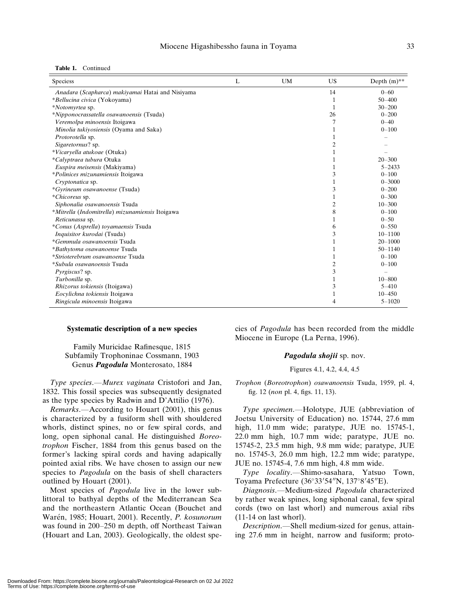Table 1. Continued

| Speciess                                         | L | <b>UM</b> | US | Depth $(m)$ ** |
|--------------------------------------------------|---|-----------|----|----------------|
| Anadara (Scapharca) makiyamai Hatai and Nisiyama |   |           | 14 | $0 - 60$       |
| *Bellucina civica (Yokoyama)                     |   |           | 1  | $50 - 400$     |
| *Notomyrtea sp.                                  |   |           | 1  | $30 - 200$     |
| *Nipponocrassatella osawanoensis (Tsuda)         |   |           | 26 | $0 - 200$      |
| Veremolpa minoensis Itoigawa                     |   |           |    | $0 - 40$       |
| Minolia tukiyosiensis (Oyama and Saka)           |   |           |    | $0 - 100$      |
| Protorotella sp.                                 |   |           |    |                |
| Sigaretornus? sp.                                |   |           | 2  |                |
| *Vicaryella atukoae (Otuka)                      |   |           |    |                |
| *Calyptraea tubura Otuka                         |   |           |    | $20 - 300$     |
| Euspira meisensis (Makiyama)                     |   |           |    | $5 - 2433$     |
| *Polinices mizunamiensis Itoigawa                |   |           | 3  | $0 - 100$      |
| Cryptonatica sp.                                 |   |           |    | $0 - 3000$     |
| *Gyrineum osawanoense (Tsuda)                    |   |           | 3  | $0 - 200$      |
| *Chicoreus sp.                                   |   |           |    | $0 - 300$      |
| Siphonalia osawanoensis Tsuda                    |   |           | 2  | $10 - 300$     |
| *Mitrella (Indomitrella) mizunamiensis Itoigawa  |   |           | 8  | $0 - 100$      |
| Reticunassa sp.                                  |   |           |    | $0 - 50$       |
| *Conus (Asprella) toyamaensis Tsuda              |   |           | 6  | $0 - 550$      |
| Inquisitor kurodai (Tsuda)                       |   |           | 3  | $10 - 1100$    |
| *Gemmula osawanoensis Tsuda                      |   |           |    | $20 - 1000$    |
| *Bathytoma osawanoense Tsuda                     |   |           |    | $50 - 1140$    |
| *Strioterebrum osawanoense Tsuda                 |   |           |    | $0 - 100$      |
| *Subula osawanoensis Tsuda                       |   |           | 2  | $0 - 100$      |
| Pyrgiscus? sp.                                   |   |           | 3  |                |
| Turbonilla sp.                                   |   |           |    | $10 - 800$     |
| Rhizorus tokiensis (Itoigawa)                    |   |           | 3  | $5 - 410$      |
| Eocylichna tokiensis Itoigawa                    |   |           |    | $10 - 450$     |
| Ringicula minoensis Itoigawa                     |   |           | 4  | $5 - 1020$     |

## Systematic description of a new species

Family Muricidae Rafinesque, 1815 Subfamily Trophoninae Cossmann, 1903 Genus Pagodula Monterosato, 1884

Type species.—Murex vaginata Cristofori and Jan, 1832. This fossil species was subsequently designated as the type species by Radwin and D'Attilio (1976).

Remarks.—According to Houart (2001), this genus is characterized by a fusiform shell with shouldered whorls, distinct spines, no or few spiral cords, and long, open siphonal canal. He distinguished Boreotrophon Fischer, 1884 from this genus based on the former's lacking spiral cords and having adapically pointed axial ribs. We have chosen to assign our new species to *Pagodula* on the basis of shell characters outlined by Houart (2001).

Most species of *Pagodula* live in the lower sublittoral to bathyal depths of the Mediterranean Sea and the northeastern Atlantic Ocean (Bouchet and Warén, 1985; Houart, 2001). Recently, P. kosunorum was found in 200–250 m depth, off Northeast Taiwan (Houart and Lan, 2003). Geologically, the oldest species of Pagodula has been recorded from the middle Miocene in Europe (La Perna, 1996).

#### Pagodula shojii sp. nov.

#### Figures 4.1, 4.2, 4.4, 4.5

Trophon (Boreotrophon) osawanoensis Tsuda, 1959, pl. 4, fig. 12 (non pl. 4, figs. 11, 13).

Type specimen.—Holotype, JUE (abbreviation of Joetsu University of Education) no. 15744, 27.6 mm high, 11.0 mm wide; paratype, JUE no. 15745-1, 22.0 mm high, 10.7 mm wide; paratype, JUE no. 15745-2, 23.5 mm high, 9.8 mm wide; paratype, JUE no. 15745-3, 26.0 mm high, 12.2 mm wide; paratype, JUE no. 15745-4, 7.6 mm high, 4.8 mm wide.

Type locality.—Shimo-sasahara, Yatsuo Town, Toyama Prefecture (36°33'54"N, 137°8'45"E).

Diagnosis.—Medium-sized Pagodula characterized by rather weak spines, long siphonal canal, few spiral cords (two on last whorl) and numerous axial ribs (11-14 on last whorl).

Description.—Shell medium-sized for genus, attaining 27.6 mm in height, narrow and fusiform; proto-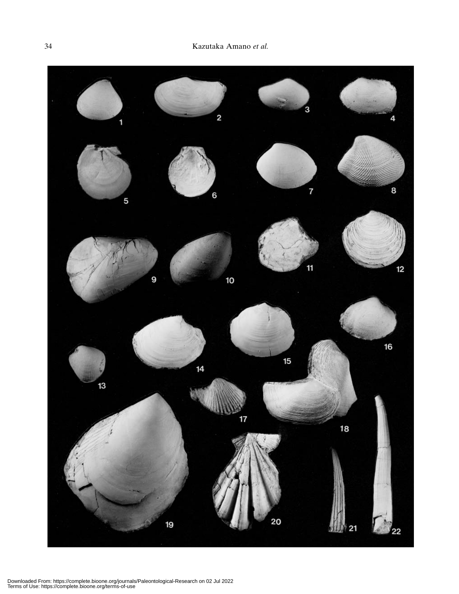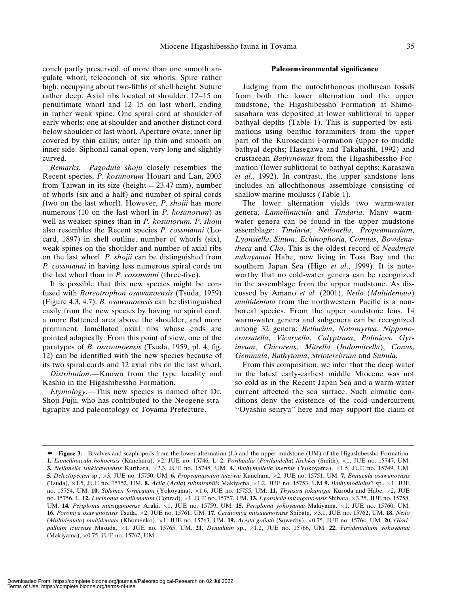conch partly preserved, of more than one smooth angulate whorl; teleoconch of six whorls. Spire rather high, occupying about two-fifths of shell height. Suture rather deep. Axial ribs located at shoulder, 12–15 on penultimate whorl and 12–15 on last whorl, ending in rather weak spine. One spiral cord at shoulder of early whorls; one at shoulder and another distinct cord below shoulder of last whorl. Aperture ovate; inner lip covered by thin callus; outer lip thin and smooth on inner side. Siphonal canal open, very long and slightly curved.

Remarks.—Pagodula shojii closely resembles the Recent species, P. kosunorum Houart and Lan, 2003 from Taiwan in its size (height  $= 23.47$  mm), number of whorls (six and a half) and number of spiral cords (two on the last whorl). However, P. shojii has more numerous (10 on the last whorl in  $P$ . kosunorum) as well as weaker spines than in P. kosunorum. P. shojii also resembles the Recent species P. cossmanni (Locard, 1897) in shell outline, number of whorls (six), weak spines on the shoulder and number of axial ribs on the last whorl. P. shojii can be distinguished from P. cossmanni in having less numerous spiral cords on the last whorl than in P. cossmanni (three-five).

It is possible that this new species might be confused with Boreotrophon osawanoensis (Tsuda, 1959) (Figure 4.3, 4.7). B. osawanoensis can be distinguished easily from the new species by having no spiral cord, a more flattened area above the shoulder, and more prominent, lamellated axial ribs whose ends are pointed adapically. From this point of view, one of the paratypes of B. osawanoensis (Tsuda, 1959, pl. 4, fig. 12) can be identified with the new species because of its two spiral cords and 12 axial ribs on the last whorl.

Distribution.—Known from the type locality and Kashio in the Higashibessho Formation.

Etymology.—This new species is named after Dr. Shoji Fujii, who has contributed to the Neogene stratigraphy and paleontology of Toyama Prefecture.

## Paleoenvironmental significance

Judging from the autochthonous molluscan fossils from both the lower alternation and the upper mudstone, the Higashibessho Formation at Shimosasahara was deposited at lower sublittoral to upper bathyal depths (Table 1). This is supported by estimations using benthic foraminifers from the upper part of the Kurosedani Formation (upper to middle bathyal depths; Hasegawa and Takahashi, 1992) and crustacean Bathynomus from the Higashibessho Formation (lower sublittoral to bathyal depths; Karasawa et al., 1992). In contrast, the upper sandstone lens includes an allochthonous assemblage consisting of shallow marine molluscs (Table 1).

The lower alternation yields two warm-water genera, Lamellinucula and Tindaria. Many warmwater genera can be found in the upper mudstone assemblage: Tindaria, Neilonella, Propeamussium, Lyonsiella, Sinum, Echinophoria, Comitas, Bowdenatheca and Clio. This is the oldest record of Neadmete nakayamai Habe, now living in Tosa Bay and the southern Japan Sea (Higo et al., 1999). It is noteworthy that no cold-water genera can be recognized in the assemblage from the upper mudstone. As discussed by Amano et al. (2001), Neilo (Multidentata) multidentata from the northwestern Pacific is a nonboreal species. From the upper sandstone lens, 14 warm-water genera and subgenera can be recognized among 32 genera: Bellucina, Notomyrtea, Nipponocrassatella, Vicaryella, Calyptraea, Polinices, Gyrineum, Chicoreus, Mitrella (Indomitrella), Conus, Gemmula, Bathytoma, Strioterebrum and Subula.

From this composition, we infer that the deep water in the latest early-earliest middle Miocene was not so cold as in the Recent Japan Sea and a warm-water current affected the sea surface. Such climatic conditions deny the existence of the cold undercurrent ''Oyashio senryu'' here and may support the claim of

Figure 3. Bivalves and scaphopods from the lower alternation (L) and the upper mudstone (UM) of the Higashibessho Formation. **1.** Lamellinucula hokoensis (Kanehara),  $\times$ 2, JUE no. 15746, L. 2. Portlandia (Portlandella) lischkei (Smith),  $\times$ 1, JUE no. 15747, UM. **3.** Neilonella tsukigawaensis Kurihara, ×2.3, JUE no. 15748, UM. **4.** Bathymalletia inermis (Yokoyama), ×1.5, JUE no. 15749, UM. 5. Delectopecten sp., ×3, JUE no. 15750, UM. 6. Propeamussium tateiwai Kanehara, ×2, JUE no. 15751, UM. 7. Ennucula osawanoensis (Tsuda),  $\times$ 1.5, JUE no. 15752, UM. 8. Acila (Acila) submirabilis Makiyama,  $\times$ 1.2, JUE no. 15753, UM 9. Bathymodiolus? sp.,  $\times$ 1, JUE no. 15754, UM. 10. Solamen fornicatum (Yokoyama), ×1.6, JUE no. 15755, UM. 11. Thyasira tokunagai Kuroda and Habe, ×2, JUE no. 15756, L. **12.** Lucinoma acutilienatum (Conrad), ×1, JUE no. 15757, UM. **13.** Lyonsiella mitsuganoensis Shibata, ×3.25, JUE no. 15758, UM. **14.** Periploma mitsuganoense Araki, ×1, JUE no. 15759, UM. **15.** Periploma yokoyamai Makiyama, ×1, JUE no. 15760, UM. **16.** Poromya osawanoensis Tsuda, ×2, JUE no. 15761, UM. **17.** Cardiomya mitsuganoensis Shibata, ×3.1, JUE no. 15762, UM. **18.** Neilo (Multidentata) multidentata (Khomenko),  $\times1$ , JUE no. 15763, UM. **19.** Acesta goliath (Sowerby),  $\times0.75$ , JUE no. 15764, UM. 20. Gloripallium izurense Masuda, ×1, JUE no. 15765, UM. **21.** Dentalium sp., ×1.2, JUE no. 15766, UM. **22.** Fissidentalium yokoyamai (Makiyama), ×0.75, JUE no. 15767, UM.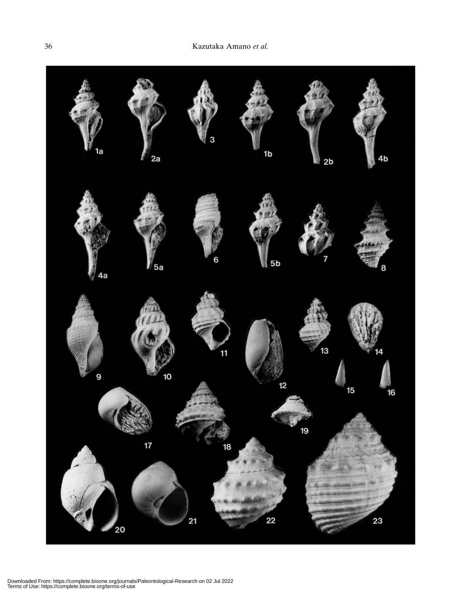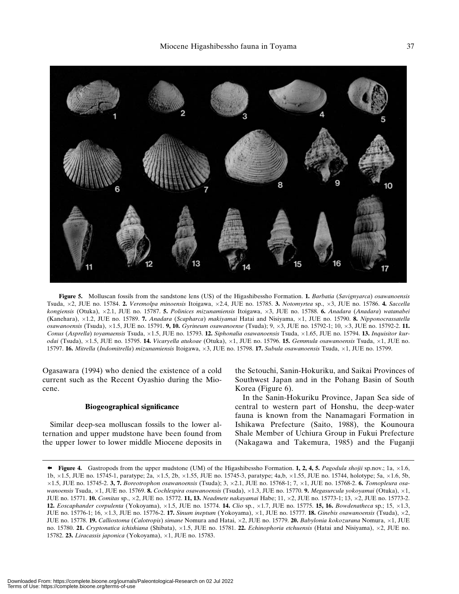

Figure 5. Molluscan fossils from the sandstone lens (US) of the Higashibessho Formation. 1. Barbatia (Savignyarca) osawanoensis Tsuda, ×2, JUE no. 15784. 2. *Veremolpa minoensis* Itoigawa, ×2.4, JUE no. 15785. 3. *Notomyrtea* sp., ×3, JUE no. 15786. 4. *Saccella* kongiensis (Otuka), ×2.1, JUE no. 15787. 5. Polinices mizunamiensis Itoigawa, ×3, JUE no. 15788. 6. Anadara (Anadara) watanabei (Kanehara), ×1.2, JUE no. 15789. 7. Anadara (Scapharca) makiyamai Hatai and Nisiyama, ×1, JUE no. 15790. 8. Nipponocrassatella osawanoensis (Tsuda), ×1.5, JUE no. 15791. **9, 10.** Gyrineum osawanoense (Tsuda); 9, ×3, JUE no. 15792-1; 10, ×3, JUE no. 15792-2. **11.** Conus (Asprella) toyamaensis Tsuda,  $\times 1.5$ , JUE no. 15793. **12.** Siphonalia osawanoensis Tsuda,  $\times 1.65$ , JUE no. 15794. **13.** Inquisitor kurodai (Tsuda), ×1.5, JUE no. 15795. **14.** Vicaryella atukoae (Otuka), ×1, JUE no. 15796. **15.** *Gemmula osawanoensis* Tsuda, ×1, JUE no. 15797. **16.** Mitrella (Indomitrella) mizunamiensis Itoigawa, ×3, JUE no. 15798. **17.** Subula osawanoensis Tsuda, ×1, JUE no. 15799.

Ogasawara (1994) who denied the existence of a cold current such as the Recent Oyashio during the Miocene.

## Biogeographical significance

Similar deep-sea molluscan fossils to the lower alternation and upper mudstone have been found from the upper lower to lower middle Miocene deposits in

the Setouchi, Sanin-Hokuriku, and Saikai Provinces of Southwest Japan and in the Pohang Basin of South Korea (Figure 6).

In the Sanin-Hokuriku Province, Japan Sea side of central to western part of Honshu, the deep-water fauna is known from the Nanamagari Formation in Ishikawa Prefecture (Saito, 1988), the Kounoura Shale Member of Uchiura Group in Fukui Prefecture (Nakagawa and Takemura, 1985) and the Fuganji

Figure 4. Gastropods from the upper mudstone (UM) of the Higashibessho Formation. 1, 2, 4, 5. Pagodula shojii sp.nov.; 1a,  $\times 1.6$ , 1b, ×1.5, JUE no. 15745-1, paratype; 2a, ×1.5, 2b, ×1.55, JUE no. 15745-3, paratype; 4a,b, ×1.55, JUE no. 15744, holotype; 5a, ×1.6, 5b,  $\times$ 1.5, JUE no. 15745-2. 3, 7. Boreotrophon osawanoensis (Tsuda); 3,  $\times$ 2.1, JUE no. 15768-1; 7,  $\times$ 1, JUE no. 15768-2. 6. Tomopleura osawanoensis Tsuda, ×1, JUE no. 15769. **8.** Cochlespira osawanoensis (Tsuda), ×1.3, JUE no. 15770. **9.** Megasurcula yokoyamai (Otuka), ×1, JUE no. 15771. **10.** Comitas sp., ×2, JUE no. 15772. **11, 13.** Neadmete nakayamai Habe; 11, ×2, JUE no. 15773-1; 13, ×2, JUE no. 15773-2. **12.** Eoscaphander corpulenta (Yokoyama), ×1.5, JUE no. 15774. **14.** Clio sp., ×1.7, JUE no. 15775. **15, 16.** Bowdenatheca sp.; 15, ×1.3, JUE no. 15776-1; 16, ×1.3, JUE no. 15776-2. **17.** Sinum ineptum (Yokoyama), ×1, JUE no. 15777. **18.** *Ginebis osawanoensis* (Tsuda), ×2, JUE no. 15778. **19.** Calliostoma (Calotropis) simane Nomura and Hatai, ×2, JUE no. 15779. **20.** Babylonia kokozurana Nomura, ×1, JUE no. 15780. 21. Cryptonatica ichishiana (Shibata), ×1.5, JUE no. 15781. 22. Echinophoria etchuensis (Hatai and Nisiyama), ×2, JUE no. 15782. 23. Liracassis japonica (Yokoyama), ×1, JUE no. 15783.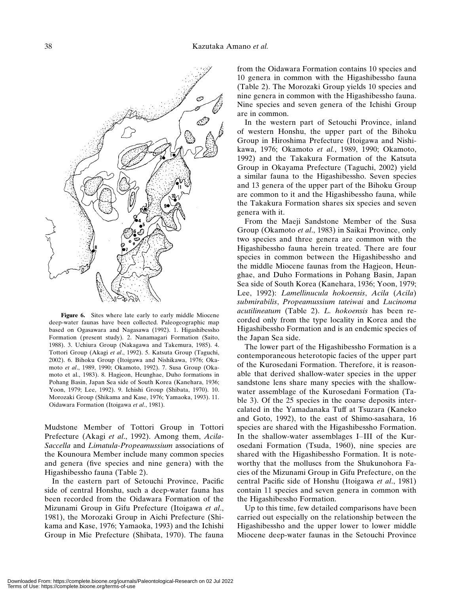

Figure 6. Sites where late early to early middle Miocene deep-water faunas have been collected. Paleogeographic map based on Ogasawara and Nagasawa (1992). 1. Higashibessho Formation (present study). 2. Nanamagari Formation (Saito, 1988). 3. Uchiura Group (Nakagawa and Takemura, 1985). 4. Tottori Group (Akagi et al., 1992). 5. Katsuta Group (Taguchi, 2002). 6. Bihoku Group (Itoigawa and Nishikawa, 1976; Okamoto et al., 1989, 1990; Okamoto, 1992). 7. Susa Group (Okamoto et al., 1983). 8. Hagjeon, Heunghae, Duho formations in Pohang Basin, Japan Sea side of South Korea (Kanehara, 1936; Yoon, 1979; Lee, 1992). 9. Ichishi Group (Shibata, 1970). 10. Morozaki Group (Shikama and Kase, 1976; Yamaoka, 1993). 11. Oidawara Formation (Itoigawa et al., 1981).

Mudstone Member of Tottori Group in Tottori Prefecture (Akagi et al., 1992). Among them, Acila-Saccella and Limatula-Propeamussium associations of the Kounoura Member include many common species and genera (five species and nine genera) with the Higashibessho fauna (Table 2).

In the eastern part of Setouchi Province, Pacific side of central Honshu, such a deep-water fauna has been recorded from the Oidawara Formation of the Mizunami Group in Gifu Prefecture (Itoigawa et al., 1981), the Morozaki Group in Aichi Prefecture (Shikama and Kase, 1976; Yamaoka, 1993) and the Ichishi Group in Mie Prefecture (Shibata, 1970). The fauna

from the Oidawara Formation contains 10 species and 10 genera in common with the Higashibessho fauna (Table 2). The Morozaki Group yields 10 species and nine genera in common with the Higashibessho fauna. Nine species and seven genera of the Ichishi Group are in common.

In the western part of Setouchi Province, inland of western Honshu, the upper part of the Bihoku Group in Hiroshima Prefecture (Itoigawa and Nishikawa, 1976; Okamoto et al., 1989, 1990; Okamoto, 1992) and the Takakura Formation of the Katsuta Group in Okayama Prefecture (Taguchi, 2002) yield a similar fauna to the Higashibessho. Seven species and 13 genera of the upper part of the Bihoku Group are common to it and the Higashibessho fauna, while the Takakura Formation shares six species and seven genera with it.

From the Maeji Sandstone Member of the Susa Group (Okamoto et al., 1983) in Saikai Province, only two species and three genera are common with the Higashibessho fauna herein treated. There are four species in common between the Higashibessho and the middle Miocene faunas from the Hagjeon, Heunghae, and Duho Formations in Pohang Basin, Japan Sea side of South Korea (Kanehara, 1936; Yoon, 1979; Lee, 1992): Lamellinucula hokoensis, Acila (Acila) submirabilis, Propeamussium tateiwai and Lucinoma acutilineatum (Table 2). L. hokoensis has been recorded only from the type locality in Korea and the Higashibessho Formation and is an endemic species of the Japan Sea side.

The lower part of the Higashibessho Formation is a contemporaneous heterotopic facies of the upper part of the Kurosedani Formation. Therefore, it is reasonable that derived shallow-water species in the upper sandstone lens share many species with the shallowwater assemblage of the Kurosedani Formation (Table 3). Of the 25 species in the coarse deposits intercalated in the Yamadanaka Tuff at Tsuzara (Kaneko and Goto, 1992), to the east of Shimo-sasahara, 16 species are shared with the Higashibessho Formation. In the shallow-water assemblages I–III of the Kurosedani Formation (Tsuda, 1960), nine species are shared with the Higashibessho Formation. It is noteworthy that the molluscs from the Shukunohora Facies of the Mizunami Group in Gifu Prefecture, on the central Pacific side of Honshu (Itoigawa et al., 1981) contain 11 species and seven genera in common with the Higashibessho Formation.

Up to this time, few detailed comparisons have been carried out especially on the relationship between the Higashibessho and the upper lower to lower middle Miocene deep-water faunas in the Setouchi Province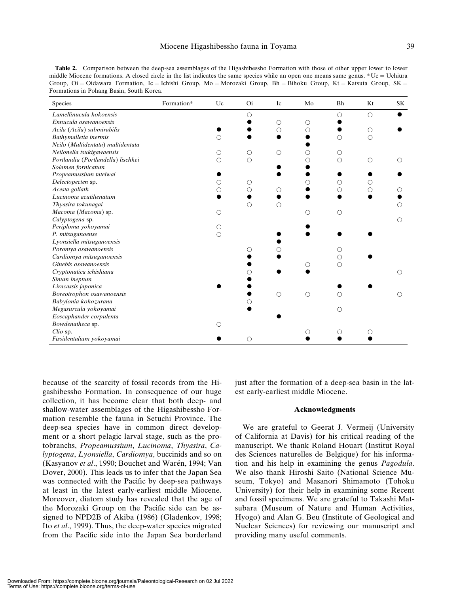Table 2. Comparison between the deep-sea assemblages of the Higashibessho Formation with those of other upper lower to lower middle Miocene formations. A closed circle in the list indicates the same species while an open one means same genus. \*Uc = Uchiura Group, Oi = Oidawara Formation, Ic = Ichishi Group, Mo = Morozaki Group, Bh = Bihoku Group, Kt = Katsuta Group, SK = Formations in Pohang Basin, South Korea.

| Species                                          | Formation* | Uc | O <sub>i</sub> | ${\rm Ic}$ | Mo      | Bh      | Kt         | <b>SK</b> |
|--------------------------------------------------|------------|----|----------------|------------|---------|---------|------------|-----------|
| Lamellinucula hokoensis                          |            |    | ∩              |            |         | ()      | $\circ$    |           |
| Ennucula osawanoensis                            |            |    |                | О          | О       |         |            |           |
| Acila (Acila) submirabilis                       |            |    |                |            |         |         | О          |           |
| Bathymalletia inermis                            |            |    |                |            |         | $\circ$ | $\bigcirc$ |           |
| Neilo (Multidentata) multidentata                |            |    |                |            |         |         |            |           |
| Neilonella tsukigawaensis                        |            | Ω  | ◯              | ∩          |         | Ω       |            |           |
| Portlandia (Portlandella) lischkei               |            |    | Ω              |            |         |         | ◯          |           |
| Solamen fornicatum                               |            |    |                |            |         |         |            |           |
| Propeamussium tateiwai                           |            |    |                |            |         |         |            |           |
| Delectopecten sp.                                |            |    | ()             |            |         |         |            |           |
| Acesta goliath                                   |            |    |                |            |         |         |            |           |
| Lucinoma acutilienatum                           |            |    |                |            |         |         |            |           |
| Thyasira tokunagai                               |            |    | $\bigcirc$     |            |         |         |            |           |
| Macoma (Macoma) sp.                              |            | ∩  |                |            |         | ∩       |            |           |
| Calyptogena sp.                                  |            |    |                |            |         |         |            |           |
| Periploma yokoyamai                              |            |    |                |            |         |         |            |           |
| P. mitsuganoense                                 |            |    |                |            |         |         |            |           |
| Lyonsiella mitsuganoensis                        |            |    |                |            |         |         |            |           |
| Poromya osawanoensis                             |            |    |                |            |         |         |            |           |
| Cardiomya mitsuganoensis                         |            |    |                |            |         |         |            |           |
| Ginebis osawanoensis                             |            |    |                |            |         |         |            |           |
| Cryptonatica ichishiana                          |            |    |                |            |         |         |            |           |
| Sinum ineptum                                    |            |    |                |            |         |         |            |           |
| Liracassis japonica<br>Boreotrophon osawanoensis |            |    |                |            | $\circ$ |         |            |           |
| Babylonia kokozurana                             |            |    |                | ∩          |         |         |            |           |
| Megasurcula yokoyamai                            |            |    |                |            |         | ∩       |            |           |
| Eoscaphander corpulenta                          |            |    |                |            |         |         |            |           |
| Bowdenatheca sp.                                 |            | ∩  |                |            |         |         |            |           |
| Clio sp.                                         |            |    |                |            |         |         |            |           |
| Fissidentalium yokoyamai                         |            |    | $\circ$        |            |         |         |            |           |
|                                                  |            |    |                |            |         |         |            |           |

because of the scarcity of fossil records from the Higashibessho Formation. In consequence of our huge collection, it has become clear that both deep- and shallow-water assemblages of the Higashibessho Formation resemble the fauna in Setuchi Province. The deep-sea species have in common direct development or a short pelagic larval stage, such as the protobranchs, Propeamussium, Lucinoma, Thyasira, Calyptogena, Lyonsiella, Cardiomya, buccinids and so on (Kasyanov et al., 1990; Bouchet and Warén, 1994; Van Dover, 2000). This leads us to infer that the Japan Sea was connected with the Pacific by deep-sea pathways at least in the latest early-earliest middle Miocene. Moreover, diatom study has revealed that the age of the Morozaki Group on the Pacific side can be assigned to NPD2B of Akiba (1986) (Gladenkov, 1998; Ito et al., 1999). Thus, the deep-water species migrated from the Pacific side into the Japan Sea borderland

just after the formation of a deep-sea basin in the latest early-earliest middle Miocene.

## Acknowledgments

We are grateful to Geerat J. Vermeij (University of California at Davis) for his critical reading of the manuscript. We thank Roland Houart (Institut Royal des Sciences naturelles de Belgique) for his information and his help in examining the genus Pagodula. We also thank Hiroshi Saito (National Science Museum, Tokyo) and Masanori Shimamoto (Tohoku University) for their help in examining some Recent and fossil specimens. We are grateful to Takashi Matsubara (Museum of Nature and Human Activities, Hyogo) and Alan G. Beu (Institute of Geological and Nuclear Sciences) for reviewing our manuscript and providing many useful comments.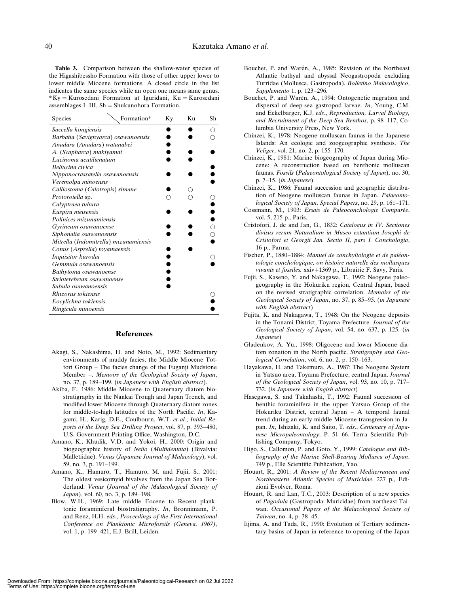Table 3. Comparison between the shallow-water species of the Higashibessho Formation with those of other upper lower to lower middle Miocene formations. A closed circle in the list indicates the same species while an open one means same genus.  $*$  Ky = Kurosedani Formation at Iguridani, Ku = Kurosedani assemblages I–III,  $Sh = Shukunohora Formation$ .

| Species                               | Formation* | Ky | Ku | Sh |
|---------------------------------------|------------|----|----|----|
| Saccella kongiensis                   |            |    |    |    |
| Barbatia (Savignyarca) osawanoensis   |            |    |    |    |
| Anadara (Anadara) watanabei           |            |    |    |    |
| A. (Scapharca) makiyamai              |            |    |    |    |
| Lucinoma acutilienatum                |            |    |    |    |
| Bellucina civica                      |            |    |    |    |
| Nipponocrassatella osawanoensis       |            |    |    |    |
| Veremolpa minoensis                   |            |    |    |    |
| Calliostoma (Calotropis) simane       |            |    |    |    |
| Protorotella sp.                      |            |    |    |    |
| Calyptraea tubura                     |            |    |    |    |
| Euspira meisensis                     |            |    |    |    |
| Polinices mizunamiensis               |            |    |    |    |
| Gyrineum osawanoense                  |            |    |    |    |
| Siphonalia osawanoensis               |            |    |    |    |
| Mitrella (Indomitrella) mizunamiensis |            |    |    |    |
| Conus (Asprella) toyamaensis          |            |    |    |    |
| Inquisitor kurodai                    |            |    |    |    |
| Gemmula osawanoensis                  |            |    |    |    |
| Bathytoma osawanoense                 |            |    |    |    |
| Strioterebrum osawanoense             |            |    |    |    |
| Subula osawanoensis                   |            |    |    |    |
| Rhizorus tokiensis                    |            |    |    |    |
| Eocylichna tokiensis                  |            |    |    |    |
| Ringicula minoensis                   |            |    |    |    |

## References

- Akagi, S., Nakashima, H. and Noto, M., 1992: Sedimantary environments of muddy facies, the Middle Miocene Tottori Group – The facies change of the Fuganji Mudstone Member –. Memoirs of the Geological Society of Japan, no. 37, p. 189–199. (in Japanese with English abstract).
- Akiba, F., 1986: Middle Miocene to Quaternary diatom biostratigraphy in the Nankai Trough and Japan Trench, and modified lower Miocene through Quaternary diatom zones for middle-to-high latitudes of the North Pacific. In, Kagami, H., Karig, D.E., Coulbourn, W.T. et al., Initial Reports of the Deep Sea Drilling Project, vol. 87, p. 393–480, U.S. Government Printing Office, Washington, D.C.
- Amano, K., Khudik, V.D. and Yokoi, H., 2000: Origin and biogeographic history of Neilo (Multidentata) (Bivalvia: Malletiidae). Venus (Japanese Journal of Malacology), vol. 59, no. 3, p. 191–199.
- Amano, K., Hamuro, T., Hamuro, M. and Fujii, S., 2001: The oldest vesicomyid bivalves from the Japan Sea Borderland. Venus (Journal of the Malacological Society of Japan), vol. 60, no. 3, p. 189–198.
- Blow, W.H., 1969: Late middle Eocene to Recent planktonic foraminiferal biostratigraphy. In, Bronnimann, P. and Renz, H.H. eds., Proceedings of the First International Conference on Planktonic Microfossils (Geneva, 1967), vol. 1, p. 199–421, E.J. Brill, Leiden.
- Bouchet, P. and Warén, A., 1985: Revision of the Northeast Atlantic bathyal and abyssal Neogastropoda excluding Turridae (Mollusca, Gastropoda). Bolletino Malacologico, Supplemento 1, p. 123–296.
- Bouchet, P. and Warén, A., 1994: Ontogenetic migration and dispersal of deep-sea gastropod larvae. In, Young, C.M. and Eckelbarger, K.J. eds., Reproduction, Larval Biology, and Recruitment of the Deep-Sea Benthos, p. 98–117, Columbia University Press, New York.
- Chinzei, K., 1978: Neogene molluscan faunas in the Japanese Islands: An ecologic and zoogeographic synthesis. The Veliger, vol. 21, no. 2, p. 155–170.
- Chinzei, K., 1981: Marine biogeography of Japan during Miocene: A reconstruction based on benthonic molluscan faunas. Fossils (Palaeontological Society of Japan), no. 30, p. 7–15. (in Japanese)
- Chinzei, K., 1986: Faunal succession and geographic distribution of Neogene molluscan faunas in Japan. Palaeontological Society of Japan, Special Papers, no. 29, p. 161–171.
- Cossmann, M., 1903: Essais de Paleoconchologie Comparée, vol. 5, 215 p., Paris.
- Cristofori, J. de and Jan, G., 1832: Catalogus in IV. Sectiones divisus rerum Naturalium in Museo extantium Josephi de Cristofori et Georgii Jan. Sectio II, pars I. Conchologia, 16 p., Parma.
- Fischer, P., 1880-1884: Manuel de conchyliologie et de paléontologie conchologique, on histoire naturelle des mollusques vivants et fossiles. xxiv+1369 p., Librairie F. Savy, Paris.
- Fujii, S., Kaseno, Y. and Nakagawa, T., 1992: Neogene paleogeography in the Hokuriku region, Central Japan, based on the revised stratigraphic correlation. Memoirs of the Geological Society of Japan, no. 37, p. 85–95. (in Japanese with English abstract)
- Fujita, K. and Nakagawa, T., 1948: On the Neogene deposits in the Tonami District, Toyama Prefecture. Journal of the Geological Society of Japan, vol. 54, no. 637, p. 125. (in Japanese)
- Gladenkov, A. Yu., 1998: Oligocene and lower Miocene diatom zonation in the North pacific. Stratigraphy and Geological Correlation, vol. 6, no. 2, p. 150–163.
- Hayakawa, H. and Takemura, A., 1987: The Neogene System in Yatsuo area, Toyama Prefecture, central Japan. Journal of the Geological Society of Japan, vol. 93, no. 10, p. 717– 732. (in Japanese with Engish abstract)
- Hasegawa, S. and Takahashi, T., 1992: Faunal succession of benthic foraminifera in the upper Yatsuo Group of the Hokuriku District, central Japan – A temporal faunal trend during an early-middle Miocene transgression in Japan. In, Ishizaki, K. and Saito, T. eds., Centenary of Japanese Micropaleontology: P. 51–66. Terra Scientific Publishing Company, Tokyo.
- Higo, S., Callomon, P. and Goto, Y., 1999: Catalogue and Bibliography of the Marine Shell-Bearing Mollusca of Japan. 749 p., Elle Scientific Publication, Yao.
- Houart, R., 2001: A Review of the Recent Mediterranean and Northeastern Atlantic Species of Muricidae. 227 p., Edizioni Evolver, Roma.
- Houart, R. and Lan, T.C., 2003: Description of a new species of Pagodula (Gastropoda: Muricidae) from northeast Taiwan. Occasional Papers of the Malacological Society of Taiwan, no. 4, p. 38–45.
- Iijima, A. and Tada, R., 1990: Evolution of Tertiary sedimentary basins of Japan in reference to opening of the Japan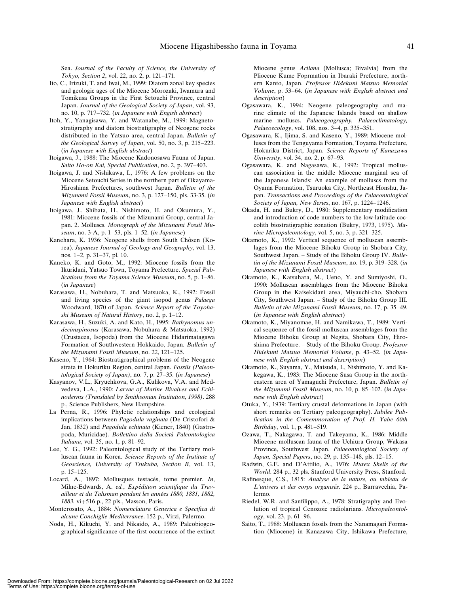Sea. Journal of the Faculty of Science, the University of Tokyo, Section 2, vol. 22, no. 2, p. 121–171.

- Ito, C., Irizuki, T. and Iwai, M., 1999: Diatom zonal key species and geologic ages of the Miocene Morozaki, Iwamura and Tomikusa Groups in the First Setouchi Province, central Japan. Journal of the Geological Society of Japan, vol. 93, no. 10, p. 717–732. (in Japanese with Engish abstract)
- Itoh, Y., Yanagisawa, Y. and Watanabe, M., 1999: Magnetostratigraphy and diatom biostratigraphy of Neogene rocks distributed in the Yatsuo area, central Japan. Bulletin of the Geological Survey of Japan, vol. 50, no. 3, p. 215–223. (in Japanese with English abstract)
- Itoigawa, J., 1988: The Miocene Kadonosawa Fauna of Japan. Saito Ho-on Kai, Special Publication, no. 2, p. 397–403.
- Itoigawa, J. and Nishikawa, I., 1976: A few problems on the Miocene Setouchi Series in the northern part of Okayama-Hiroshima Prefectures, southwest Japan. Bulletin of the Mizunami Fossil Museum, no. 3, p. 127–150, pls. 33-35. (in Japanese with English abstract)
- Itoigawa, J., Shibata, H., Nishimoto, H. and Okumura, Y., 1981: Miocene fossils of the Mizunami Group, central Japan. 2. Molluscs. Monograph of the Mizunami Fossil Museum, no. 3-A, p. 1–53, pls. 1–52. (in Japanese)
- Kanehara, K. 1936: Neogene shells from South Chôsen (Korea). Japanese Journal of Geology and Geography, vol. 13, nos. 1–2, p. 31–37, pl. 10.
- Kaneko, K. and Goto, M., 1992: Miocene fossils from the Ikuridani, Yatsuo Town, Toyama Prefecture. Special Publications from the Toyama Science Museum, no. 5, p. 1–86. (in Japanese)
- Karasawa, H., Nobuhara, T. and Matsuoka, K., 1992: Fossil and living species of the giant isopod genus Palaega Woodward, 1870 of Japan. Science Report of the Toyohashi Museum of Natural History, no. 2, p. 1–12.
- Karasawa, H., Suzuki, A. and Kato, H., 1995: Bathynomus undecimspinosus (Karasawa, Nobuhara & Matsuoka, 1992) (Crustacea, Isopoda) from the Miocene Hidarimatagawa Formation of Southwestern Hokkaido, Japan. Bulletin of the Mizunami Fossil Museum, no. 22, 121–125.
- Kaseno, Y., 1964: Biostratigraphical problems of the Neogene strata in Hokuriku Region, central Japan. Fossils (Paleontological Society of Japan), no. 7, p. 27–35. (in Japanese)
- Kasyanov, V.L., Kryuchkova, G.A., Kulikova, V.A. and Medvedeva, L.A., 1990: Larvae of Marine Bivalves and Echinoderms (Translated by Smithsonian Institution, 1998). 288 p., Science Publishers, New Hampshire.
- La Perna, R., 1996: Phyletic relationships and ecological implications between Pagodula vaginata (De Cristofori & Jan, 1832) and Pagodula echinata (Kiener, 1840) (Gastropoda, Muricidae). Bollettino della Società Paleontologica Italiana, vol. 35, no. 1, p. 81–92.
- Lee, Y. G., 1992: Paleontological study of the Tertiary molluscan fauna in Korea. Science Reports of the Institute of Geoscience, University of Tsukuba, Section B, vol. 13, p. 15–125.
- Locard, A., 1897: Mollusques testacés, tome premier. In, Milne-Edwards, A. ed., Expédition scientifique du Travailleur et du Talisman pendant les années 1880, 1881, 1882, 1883. vi+516 p., 22 pls., Masson, Paris.
- Monterosato, A., 1884: Nomenclatura Generica e Specifica di alcune Conchiglie Mediterranee. 152 p., Virzi, Palermo.
- Noda, H., Kikuchi, Y. and Nikaido, A., 1989: Paleobiogeographical significance of the first occurrence of the extinct

Miocene genus Acilana (Mollusca; Bivalvia) from the Pliocene Kume Foprmation in Ibaraki Prefecture, northern Kanto, Japan. Professor Hidekuni Matsuo Memorial Volume, p. 53–64. (in Japanese with English abstract and description)

- Ogasawara, K., 1994: Neogene paleogeography and marine climate of the Japanese Islands based on shallow marine molluscs. Palaeogeography, Palaeoclimatology, Palaeoecology, vol. 108, nos. 3–4, p. 335–351.
- Ogasawara, K., Ijima, S. and Kaseno, Y., 1989: Miocene molluscs from the Tenguyama Formation, Toyama Prefecture, Hokuriku District, Japan. Science Reports of Kanazawa University, vol. 34, no. 2, p. 67–93.
- Ogasawara, K. and Nagasawa, K., 1992: Tropical molluscan association in the middle Miocene marginal sea of the Japanese Islands: An example of molluscs from the Oyama Formation, Tsuruoka City, Northeast Honshu, Japan. Transactions and Proceedings of the Palaeontological Society of Japan, New Series, no. 167, p. 1224–1246.
- Okada, H. and Bukry, D., 1980: Supplementary modification and introduction of code numbers to the low-latitude coccolith biostratigraphic zonation (Bukry, 1973, 1975). Marine Micropaleontology, vol. 5, no. 3, p. 321–325.
- Okamoto, K., 1992: Vertical sequence of molluscan assemblages from the Miocene Bihoku Group in Shobara City, Southwest Japan. – Study of the Bihoku Group IV. Bulletin of the Mizunami Fossil Museum, no. 19, p. 319–328. (in Japanese with English abstract)
- Okamoto, K., Katsuhara, M., Ueno, Y. and Sumiyoshi, O., 1990: Molluscan assemblages from the Miocene Bihoku Group in the Kaisekidani area, Miyauchi-cho, Shobara City, Southwest Japan. – Study of the Bihoku Group III. Bulletin of the Mizunami Fossil Museum, no. 17, p. 35–49. (in Japanese with English abstract)
- Okamoto, K., Miyanomae, H. and Namikawa, T., 1989: Vertical sequence of the fossil molluscan assemblages from the Miocene Bihoku Group at Negita, Shobara City, Hiroshima Prefecture. – Study of the Bihoku Group. Professor Hidekuni Matsuo Memorial Volume, p. 43–52. (in Japanese with English abstract and description)
- Okamoto, K., Suyama, Y., Matsuda, I., Nishimoto, Y. and Kakegawa, K., 1983: The Miocene Susa Group in the northeastern area of Yamaguchi Prefecture, Japan. Bulletin of the Mizunami Fossil Museum, no. 10, p. 85–102. (in Japanese with English abstract)
- Otuka, Y., 1939: Tertiary crustal deformations in Japan (with short remarks on Tertiary paleogeography). Jubilee Publication in the Comemmoration of Prof. H. Yabe 60th Birthday, vol. 1, p. 481–519.
- Ozawa, T., Nakagawa, T. and Takeyama, K., 1986: Middle Miocene molluscan fauna of the Uchiura Group, Wakasa Province, Southwest Japan. Palaeontological Society of Japan, Special Papers, no. 29, p. 135–148, pls. 12–15.
- Radwin, G.E. and D'Attilio, A., 1976: Murex Shells of the World. 284 p., 32 pls. Stanford University Press, Stanford.
- Rafinesque, C.S., 1815: Analyse de la nature, ou tableau de L'univers et des corps organisés. 224 p., Barravechia, Palermo.
- Riedel, W.R. and Sanfilippo, A., 1978: Stratigraphy and Evolution of tropical Cenozoic radiolarians. Micropaleontology, vol. 23, p. 61–96.
- Saito, T., 1988: Molluscan fossils from the Nanamagari Formation (Miocene) in Kanazawa City, Ishikawa Prefecture,